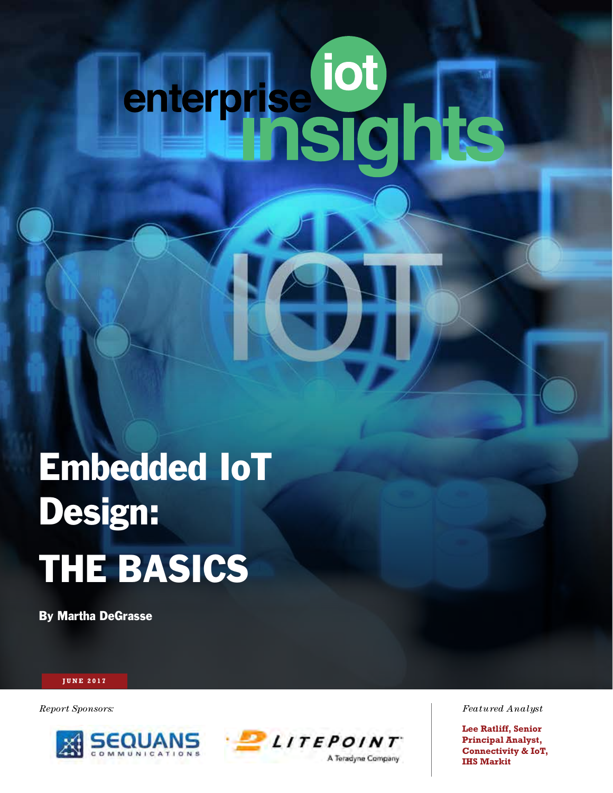# enterprise of T

# Embedded IoT Design: THE BASICS

By Martha DeGrasse

### **JUNE 2016 JUNE 2017**





*Report Sponsors: Featured Analyst*

**Lee Ratliff, Senior Principal Analyst, Connectivity & IoT, IHS Markit**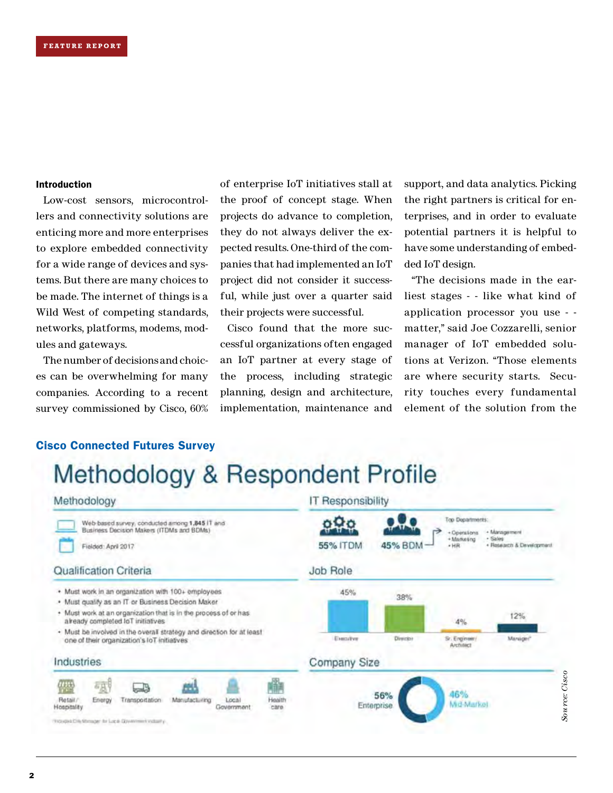### Introduction

Low-cost sensors, microcontrollers and connectivity solutions are enticing more and more enterprises to explore embedded connectivity for a wide range of devices and systems. But there are many choices to be made. The internet of things is a Wild West of competing standards, networks, platforms, modems, modules and gateways.

The number of decisions and choices can be overwhelming for many companies. According to a recent survey commissioned by Cisco, 60% of enterprise IoT initiatives stall at the proof of concept stage. When projects do advance to completion, they do not always deliver the expected results. One-third of the companies that had implemented an IoT project did not consider it successful, while just over a quarter said their projects were successful.

Cisco found that the more successful organizations often engaged an IoT partner at every stage of the process, including strategic planning, design and architecture, implementation, maintenance and

support, and data analytics. Picking the right partners is critical for enterprises, and in order to evaluate potential partners it is helpful to have some understanding of embedded IoT design.

"The decisions made in the earliest stages - - like what kind of application processor you use - matter," said Joe Cozzarelli, senior manager of IoT embedded solutions at Verizon. "Those elements are where security starts. Security touches every fundamental element of the solution from the

### Cisco Connected Futures Survey

# Methodology & Respondent Profile

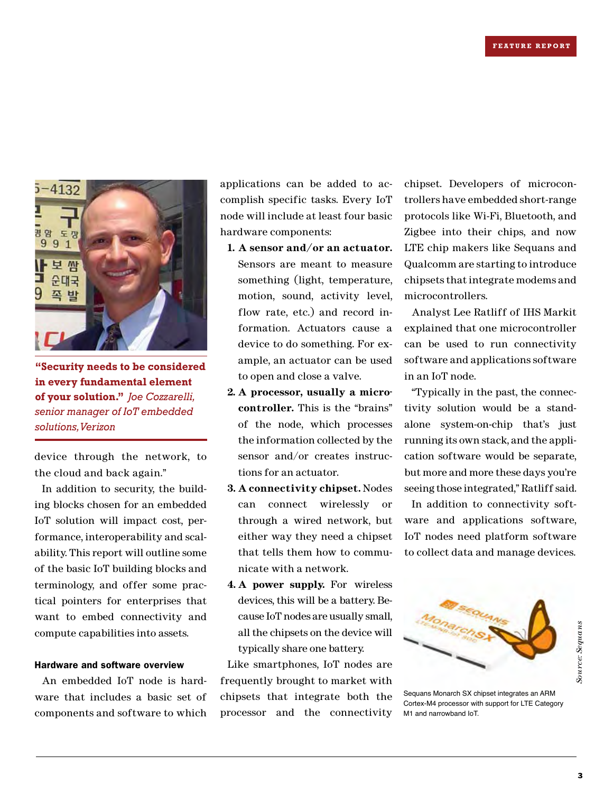

**"Security needs to be considered in every fundamental element of your solution."** *Joe Cozzarelli, senior manager of IoT embedded solutions, Verizon*

device through the network, to the cloud and back again."

In addition to security, the building blocks chosen for an embedded IoT solution will impact cost, performance, interoperability and scalability. This report will outline some of the basic IoT building blocks and terminology, and offer some practical pointers for enterprises that want to embed connectivity and compute capabilities into assets.

### Hardware and software overview

An embedded IoT node is hardware that includes a basic set of components and software to which

applications can be added to accomplish specific tasks. Every IoT node will include at least four basic hardware components:

- **1. A sensor and/or an actuator.** Sensors are meant to measure something (light, temperature, motion, sound, activity level, flow rate, etc.) and record information. Actuators cause a device to do something. For example, an actuator can be used to open and close a valve.
- **2. A processor, usually a microcontroller.** This is the "brains" of the node, which processes the information collected by the sensor and/or creates instructions for an actuator.
- **3. A connectivity chipset.** Nodes can connect wirelessly or through a wired network, but either way they need a chipset that tells them how to communicate with a network.
- **4. A power supply.** For wireless devices, this will be a battery. Because IoT nodes are usually small, all the chipsets on the device will typically share one battery.

Like smartphones, IoT nodes are frequently brought to market with chipsets that integrate both the processor and the connectivity

chipset. Developers of microcontrollers have embedded short-range protocols like Wi-Fi, Bluetooth, and Zigbee into their chips, and now LTE chip makers like Sequans and Qualcomm are starting to introduce chipsets that integrate modems and microcontrollers.

Analyst Lee Ratliff of IHS Markit explained that one microcontroller can be used to run connectivity software and applications software in an IoT node.

"Typically in the past, the connectivity solution would be a standalone system-on-chip that's just running its own stack, and the application software would be separate, but more and more these days you're seeing those integrated," Ratliff said.

In addition to connectivity software and applications software, IoT nodes need platform software to collect data and manage devices.



Sequans Monarch SX chipset integrates an ARM Cortex-M4 processor with support for LTE Category M1 and narrowband IoT.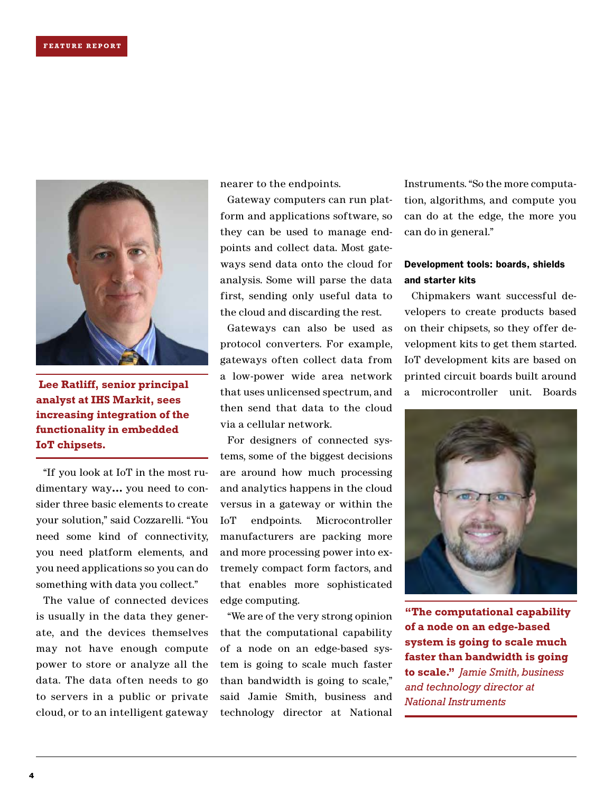

**analyst at IHS Markit, sees increasing integration of the functionality in embedded IoT chipsets.**

"If you look at IoT in the most rudimentary way… you need to consider three basic elements to create your solution," said Cozzarelli. "You need some kind of connectivity, you need platform elements, and you need applications so you can do something with data you collect."

The value of connected devices is usually in the data they generate, and the devices themselves may not have enough compute power to store or analyze all the data. The data often needs to go to servers in a public or private cloud, or to an intelligent gateway

nearer to the endpoints.

Gateway computers can run platform and applications software, so they can be used to manage endpoints and collect data. Most gateways send data onto the cloud for analysis. Some will parse the data first, sending only useful data to the cloud and discarding the rest.

Gateways can also be used as protocol converters. For example, gateways often collect data from a low-power wide area network then send that data to the cloud via a cellular network.

For designers of connected systems, some of the biggest decisions are around how much processing and analytics happens in the cloud versus in a gateway or within the IoT endpoints. Microcontroller manufacturers are packing more and more processing power into extremely compact form factors, and that enables more sophisticated edge computing.

"We are of the very strong opinion that the computational capability of a node on an edge-based system is going to scale much faster than bandwidth is going to scale," said Jamie Smith, business and technology director at National Instruments. "So the more computation, algorithms, and compute you can do at the edge, the more you can do in general."

### Development tools: boards, shields and starter kits

Lee Ratliff, senior principal that uses unlicensed spectrum, and a microcontroller unit. Boards Chipmakers want successful developers to create products based on their chipsets, so they offer development kits to get them started. IoT development kits are based on printed circuit boards built around



**"The computational capability of a node on an edge-based system is going to scale much faster than bandwidth is going to scale."** *Jamie Smith, business and technology director at National Instruments*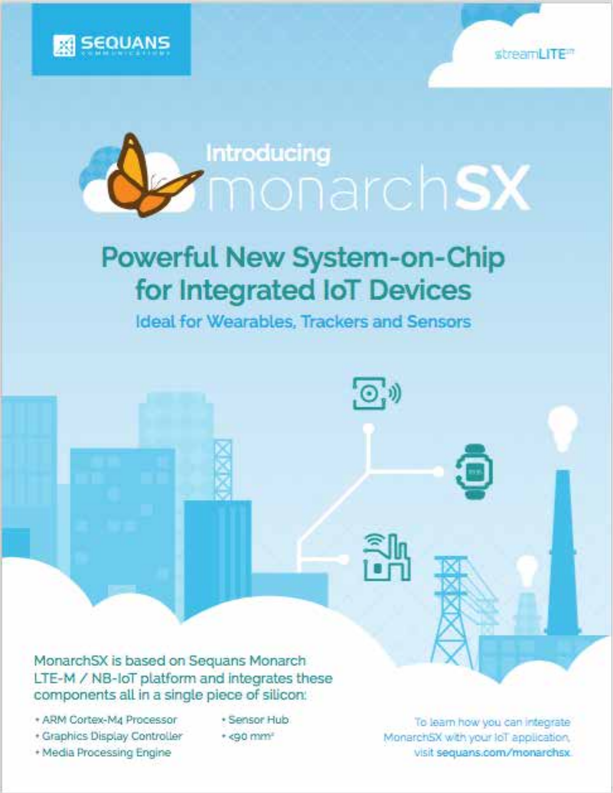





# **Powerful New System-on-Chip** for Integrated IoT Devices

Ideal for Wearables, Trackers and Sensors

 $\left( \bigcirc_{i} \mathfrak{y} \right)$ 

MonarchSX is based on Sequans Monarch LTE-M / NB-IoT platform and integrates these components all in a single piece of silicon:

- · ARM Cortex-Ma Processor
- · Graphics Display Controller
- + Media Processing Engine
- · Sensor Hub
- \* <90 mm\*

To learn how you can integrate MonarchSX with your loT application. visit sequans.com/monarchsx.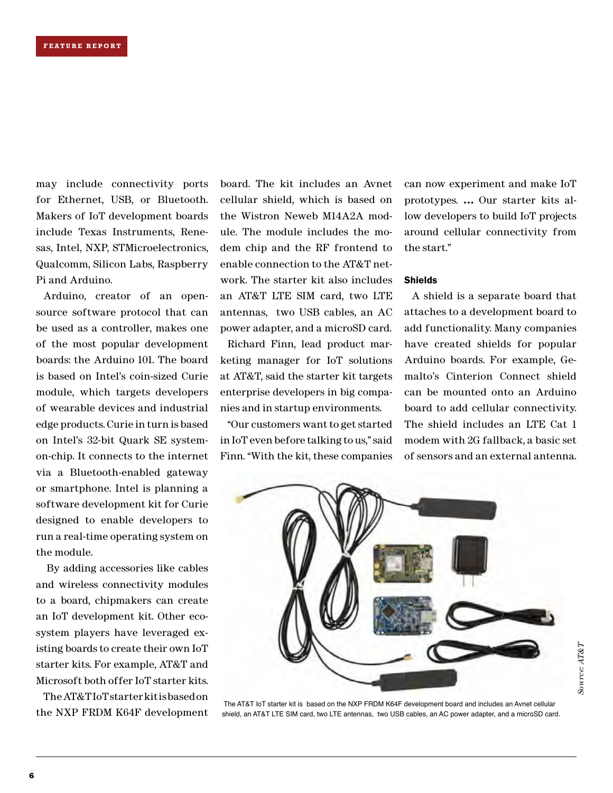may include connectivity ports for Ethernet, USB, or Bluetooth. Makers of IoT development boards include Texas Instruments, Renesas, Intel, NXP, STMicroelectronics, Qualcomm, Silicon Labs, Raspberry Pi and Arduino.

Arduino, creator of an opensource software protocol that can be used as a controller, makes one of the most popular development boards: the Arduino 101. The board is based on Intel's coin-sized Curie module, which targets developers of wearable devices and industrial edge products. Curie in turn is based on Intel's 32-bit Quark SE systemon-chip. It connects to the internet via a Bluetooth-enabled gateway or smartphone. Intel is planning a software development kit for Curie designed to enable developers to run a real-time operating system on the module.

 By adding accessories like cables and wireless connectivity modules to a board, chipmakers can create an IoT development kit. Other ecosystem players have leveraged existing boards to create their own IoT starter kits. For example, AT&T and Microsoft both offer IoT starter kits.

The AT&T IoT starter kit is based on the NXP FRDM K64F development board. The kit includes an Avnet cellular shield, which is based on the Wistron Neweb M14A2A module. The module includes the modem chip and the RF frontend to enable connection to the AT&T network. The starter kit also includes an AT&T LTE SIM card, two LTE antennas, two USB cables, an AC power adapter, and a microSD card.

Richard Finn, lead product marketing manager for IoT solutions at AT&T, said the starter kit targets enterprise developers in big companies and in startup environments.

"Our customers want to get started in IoT even before talking to us," said Finn. "With the kit, these companies can now experiment and make IoT prototypes. … Our starter kits allow developers to build IoT projects around cellular connectivity from the start."

### Shields

A shield is a separate board that attaches to a development board to add functionality. Many companies have created shields for popular Arduino boards. For example, Gemalto's Cinterion Connect shield can be mounted onto an Arduino board to add cellular connectivity. The shield includes an LTE Cat 1 modem with 2G fallback, a basic set of sensors and an external antenna.



 The AT&T IoT starter kit is based on the NXP FRDM K64F development board and includes an Avnet cellular shield, an AT&T LTE SIM card, two LTE antennas, two USB cables, an AC power adapter, and a microSD card.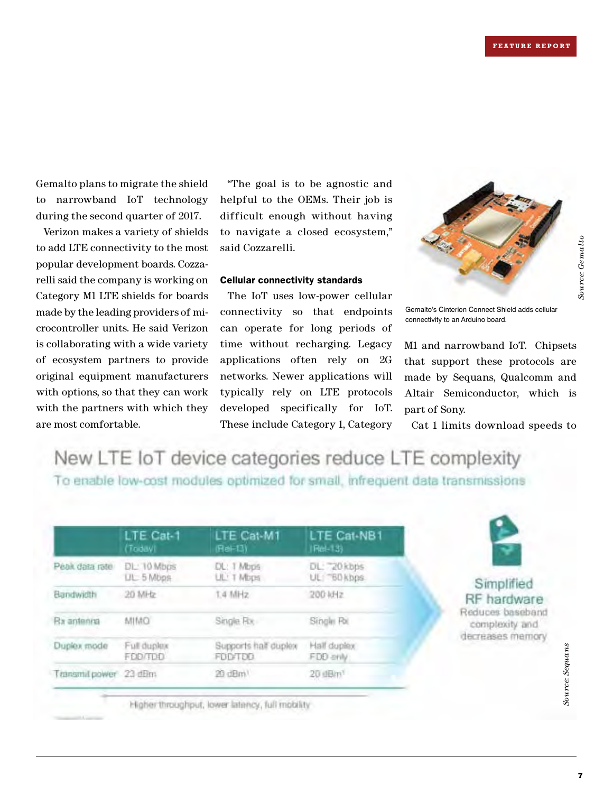*Source: Gemalto*

Source: Gemalto

Gemalto plans to migrate the shield to narrowband IoT technology during the second quarter of 2017.

Verizon makes a variety of shields to add LTE connectivity to the most popular development boards. Cozzarelli said the company is working on Category M1 LTE shields for boards made by the leading providers of microcontroller units. He said Verizon is collaborating with a wide variety of ecosystem partners to provide original equipment manufacturers with options, so that they can work with the partners with which they are most comfortable.

"The goal is to be agnostic and helpful to the OEMs. Their job is difficult enough without having to navigate a closed ecosystem," said Cozzarelli.

### Cellular connectivity standards

The IoT uses low-power cellular connectivity so that endpoints can operate for long periods of time without recharging. Legacy applications often rely on 2G networks. Newer applications will typically rely on LTE protocols developed specifically for IoT. These include Category 1, Category



Gemalto's Cinterion Connect Shield adds cellular connectivity to an Arduino board.

M1 and narrowband IoT. Chipsets that support these protocols are made by Sequans, Qualcomm and Altair Semiconductor, which is part of Sony.

Cat 1 limits download speeds to

New LTE IoT device categories reduce LTE complexity To enable low-cost modules optimized for small, infrequent data transmissions

|                | LTE Cat-1        | LTE Cat-M1           | LTE Cat-NB1          |
|----------------|------------------|----------------------|----------------------|
|                | (Today)          | (Rei-13)             | (Rel-13)             |
| Péak data rate | DL: 10 Mbps      | DL: 1 Mbps           | DL: 20 kbps          |
|                | <b>UL 5 Mops</b> | ULL' T Mbps          | UL: BD kbps          |
| Bandwidth      | 20 MHz           | 1.4 MHz              | 200 10 2             |
| Bx antenna     | OMIM             | Single Rx            | Single Pol.          |
| Duplex mode    | Full duplex      | Supports half duplex | Half duplex          |
|                | FDD/TDD          | FDD/TDD              | FDD anly             |
| Transmit power | $23$ dBm         | 20 dBm <sup>1</sup>  | 20 dB/n <sup>1</sup> |



### Simplified RF hardware Reduces baseband

complexity and decreases memory

Higher throughput, lower latency, full mobility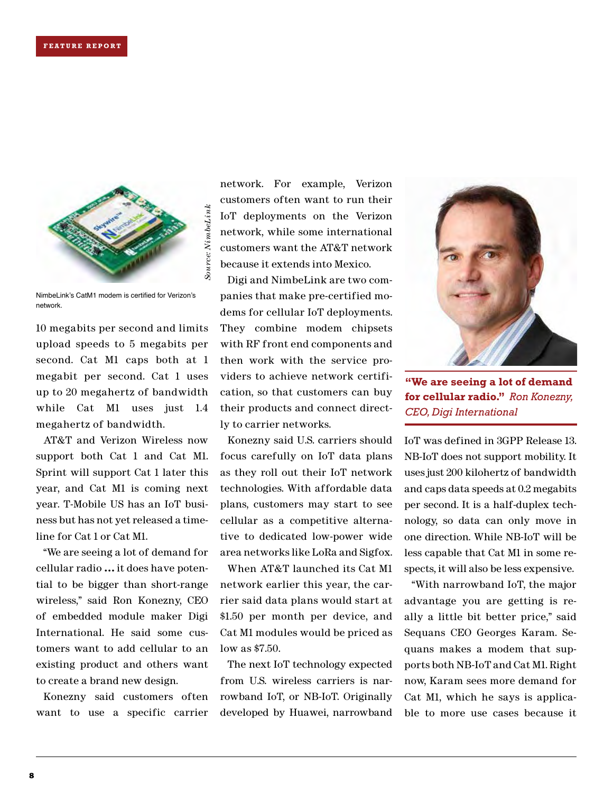

NimbeLink's CatM1 modem is certified for Verizon's network.

10 megabits per second and limits upload speeds to 5 megabits per second. Cat M1 caps both at 1 megabit per second. Cat 1 uses up to 20 megahertz of bandwidth while Cat M1 uses just 1.4 megahertz of bandwidth.

AT&T and Verizon Wireless now support both Cat 1 and Cat M1. Sprint will support Cat 1 later this year, and Cat M1 is coming next year. T-Mobile US has an IoT business but has not yet released a timeline for Cat 1 or Cat M1.

"We are seeing a lot of demand for cellular radio … it does have potential to be bigger than short-range wireless," said Ron Konezny, CEO of embedded module maker Digi International. He said some customers want to add cellular to an existing product and others want to create a brand new design.

Konezny said customers often want to use a specific carrier

network. For example, Verizon customers often want to run their IoT deployments on the Verizon network, while some international customers want the AT&T network because it extends into Mexico.

Digi and NimbeLink are two companies that make pre-certified modems for cellular IoT deployments. They combine modem chipsets with RF front end components and then work with the service providers to achieve network certification, so that customers can buy their products and connect directly to carrier networks.

Konezny said U.S. carriers should focus carefully on IoT data plans as they roll out their IoT network technologies. With affordable data plans, customers may start to see cellular as a competitive alternative to dedicated low-power wide area networks like LoRa and Sigfox.

When AT&T launched its Cat M1 network earlier this year, the carrier said data plans would start at \$1.50 per month per device, and Cat M1 modules would be priced as low as \$7.50.

The next IoT technology expected from U.S. wireless carriers is narrowband IoT, or NB-IoT. Originally developed by Huawei, narrowband



**"We are seeing a lot of demand for cellular radio."** *Ron Konezny, CEO, Digi International*

IoT was defined in 3GPP Release 13. NB-IoT does not support mobility. It uses just 200 kilohertz of bandwidth and caps data speeds at 0.2 megabits per second. It is a half-duplex technology, so data can only move in one direction. While NB-IoT will be less capable that Cat M1 in some respects, it will also be less expensive.

"With narrowband IoT, the major advantage you are getting is really a little bit better price," said Sequans CEO Georges Karam. Sequans makes a modem that supports both NB-IoT and Cat M1. Right now, Karam sees more demand for Cat M1, which he says is applicable to more use cases because it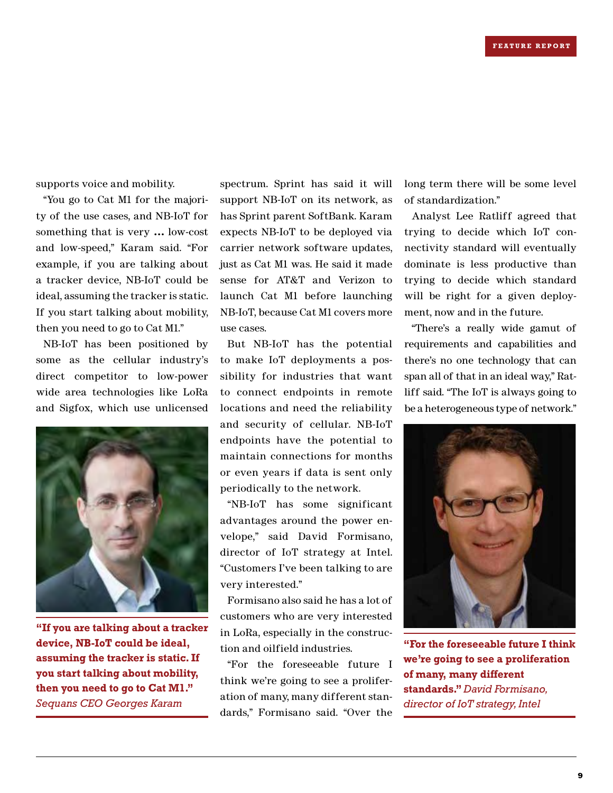supports voice and mobility.

"You go to Cat M1 for the majority of the use cases, and NB-IoT for something that is very … low-cost and low-speed," Karam said. "For example, if you are talking about a tracker device, NB-IoT could be ideal, assuming the tracker is static. If you start talking about mobility, then you need to go to Cat M1."

NB-IoT has been positioned by some as the cellular industry's direct competitor to low-power wide area technologies like LoRa and Sigfox, which use unlicensed



**"If you are talking about a tracker device, NB-IoT could be ideal, assuming the tracker is static. If you start talking about mobility, then you need to go to Cat M1."**  *Sequans CEO Georges Karam*

spectrum. Sprint has said it will support NB-IoT on its network, as has Sprint parent SoftBank. Karam expects NB-IoT to be deployed via carrier network software updates, just as Cat M1 was. He said it made sense for AT&T and Verizon to launch Cat M1 before launching NB-IoT, because Cat M1 covers more use cases.

But NB-IoT has the potential to make IoT deployments a possibility for industries that want to connect endpoints in remote locations and need the reliability and security of cellular. NB-IoT endpoints have the potential to maintain connections for months or even years if data is sent only periodically to the network.

"NB-IoT has some significant advantages around the power envelope," said David Formisano, director of IoT strategy at Intel. "Customers I've been talking to are very interested."

Formisano also said he has a lot of customers who are very interested in LoRa, especially in the construction and oilfield industries.

"For the foreseeable future I think we're going to see a proliferation of many, many different standards," Formisano said. "Over the long term there will be some level of standardization."

Analyst Lee Ratliff agreed that trying to decide which IoT connectivity standard will eventually dominate is less productive than trying to decide which standard will be right for a given deployment, now and in the future.

"There's a really wide gamut of requirements and capabilities and there's no one technology that can span all of that in an ideal way," Ratliff said. "The IoT is always going to be a heterogeneous type of network."



**"For the foreseeable future I think we're going to see a proliferation of many, many different standards."** *David Formisano, director of IoT strategy, Intel*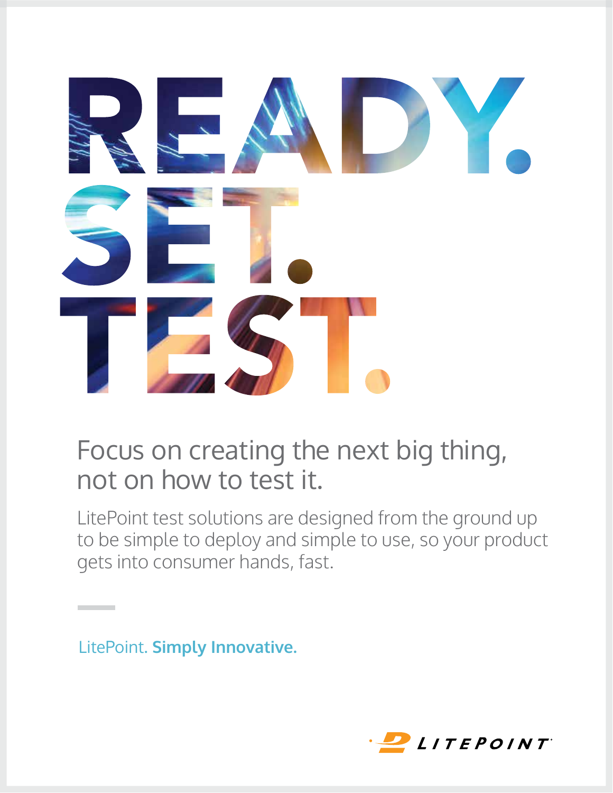

## Focus on creating the next big thing, not on how to test it. Focus on a calling the next large thing, not on how to test it.<br>In partie and the

LitePoint test solutions are designed from the ground up to be simple to deploy and simple to use, so your product gets into consumer hands, fast.

LitePoint. **Simply Innovative.**

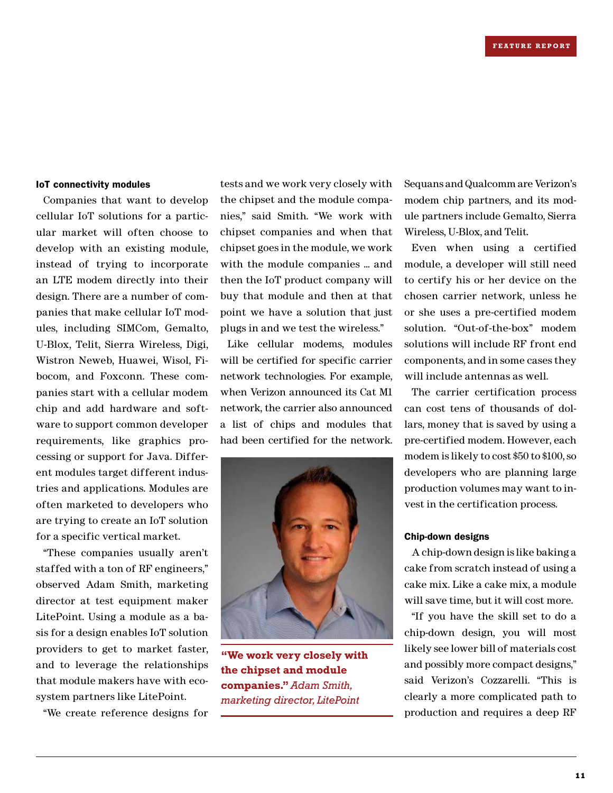### IoT connectivity modules

Companies that want to develop cellular IoT solutions for a particular market will often choose to develop with an existing module, instead of trying to incorporate an LTE modem directly into their design. There are a number of companies that make cellular IoT modules, including SIMCom, Gemalto, U-Blox, Telit, Sierra Wireless, Digi, Wistron Neweb, Huawei, Wisol, Fibocom, and Foxconn. These companies start with a cellular modem chip and add hardware and software to support common developer requirements, like graphics processing or support for Java. Different modules target different industries and applications. Modules are often marketed to developers who are trying to create an IoT solution for a specific vertical market.

"These companies usually aren't staffed with a ton of RF engineers," observed Adam Smith, marketing director at test equipment maker LitePoint. Using a module as a basis for a design enables IoT solution providers to get to market faster, and to leverage the relationships that module makers have with ecosystem partners like LitePoint.

"We create reference designs for

tests and we work very closely with the chipset and the module companies," said Smith. "We work with chipset companies and when that chipset goes in the module, we work with the module companies ... and then the IoT product company will buy that module and then at that point we have a solution that just plugs in and we test the wireless."

Like cellular modems, modules will be certified for specific carrier network technologies. For example, when Verizon announced its Cat M1 network, the carrier also announced a list of chips and modules that had been certified for the network.



**"We work very closely with the chipset and module companies."** *Adam Smith, marketing director, LitePoint*

Sequans and Qualcomm are Verizon's modem chip partners, and its module partners include Gemalto, Sierra Wireless, U-Blox, and Telit.

Even when using a certified module, a developer will still need to certify his or her device on the chosen carrier network, unless he or she uses a pre-certified modem solution. "Out-of-the-box" modem solutions will include RF front end components, and in some cases they will include antennas as well.

The carrier certification process can cost tens of thousands of dollars, money that is saved by using a pre-certified modem. However, each modem is likely to cost \$50 to \$100, so developers who are planning large production volumes may want to invest in the certification process.

### Chip-down designs

A chip-down design is like baking a cake from scratch instead of using a cake mix. Like a cake mix, a module will save time, but it will cost more.

"If you have the skill set to do a chip-down design, you will most likely see lower bill of materials cost and possibly more compact designs," said Verizon's Cozzarelli. "This is clearly a more complicated path to production and requires a deep RF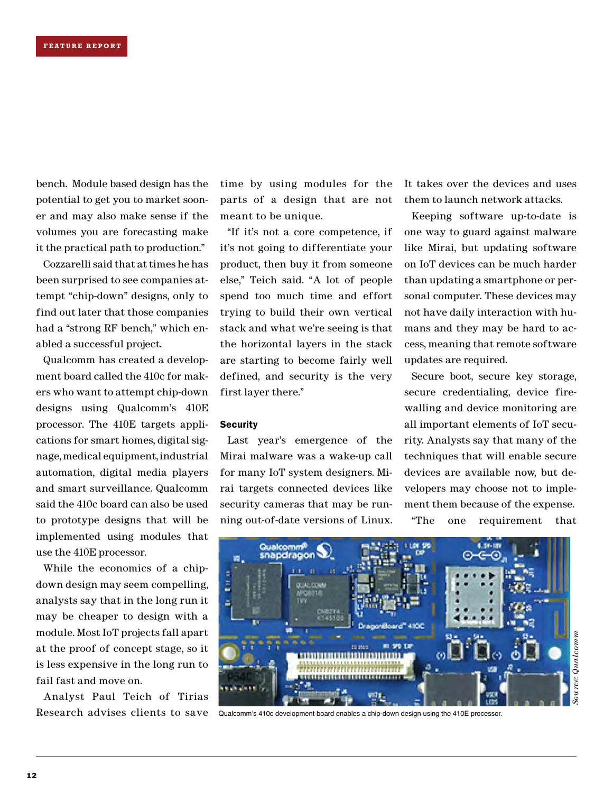bench. Module based design has the potential to get you to market sooner and may also make sense if the volumes you are forecasting make it the practical path to production."

Cozzarelli said that at times he has been surprised to see companies attempt "chip-down" designs, only to find out later that those companies had a "strong RF bench," which enabled a successful project.

Qualcomm has created a development board called the 410c for makers who want to attempt chip-down designs using Qualcomm's 410E processor. The 410E targets applications for smart homes, digital signage, medical equipment, industrial automation, digital media players and smart surveillance. Qualcomm said the 410c board can also be used to prototype designs that will be implemented using modules that use the 410E processor.

While the economics of a chipdown design may seem compelling, analysts say that in the long run it may be cheaper to design with a module. Most IoT projects fall apart at the proof of concept stage, so it is less expensive in the long run to fail fast and move on.

Analyst Paul Teich of Tirias Research advises clients to save time by using modules for the parts of a design that are not meant to be unique.

"If it's not a core competence, if it's not going to differentiate your product, then buy it from someone else," Teich said. "A lot of people spend too much time and effort trying to build their own vertical stack and what we're seeing is that the horizontal layers in the stack are starting to become fairly well defined, and security is the very first layer there."

### **Security**

Last year's emergence of the Mirai malware was a wake-up call for many IoT system designers. Mirai targets connected devices like security cameras that may be running out-of-date versions of Linux. It takes over the devices and uses them to launch network attacks.

Keeping software up-to-date is one way to guard against malware like Mirai, but updating software on IoT devices can be much harder than updating a smartphone or personal computer. These devices may not have daily interaction with humans and they may be hard to access, meaning that remote software updates are required.

Secure boot, secure key storage, secure credentialing, device firewalling and device monitoring are all important elements of IoT security. Analysts say that many of the techniques that will enable secure devices are available now, but developers may choose not to implement them because of the expense.

"The one requirement that



Qualcomm's 410c development board enables a chip-down design using the 410E processor.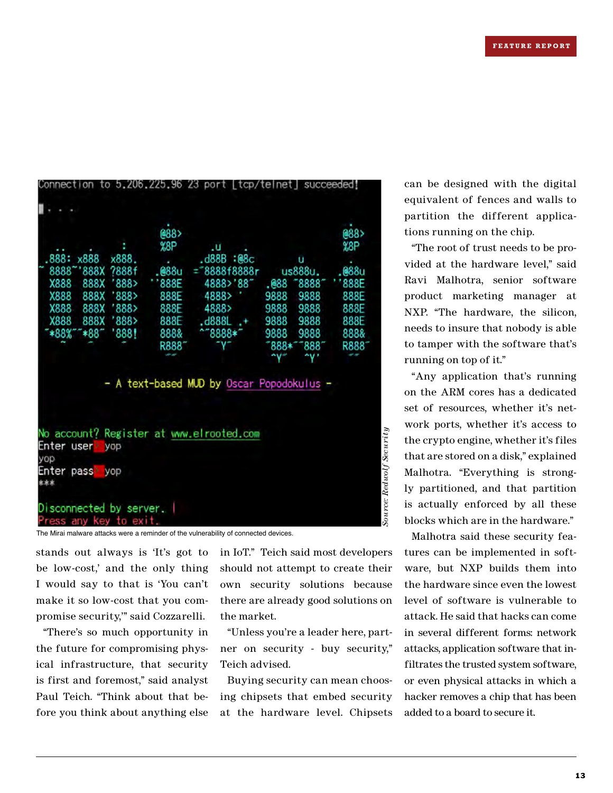|                                                               | @88>  |                                         |      |         | @88>              |
|---------------------------------------------------------------|-------|-----------------------------------------|------|---------|-------------------|
|                                                               | %8P   | .u                                      |      |         | %8P               |
| .888:<br>x888<br>x888.                                        |       | .d88B<br>:@8с                           |      | u       |                   |
| 8888<br>888X<br>7888f                                         | .@88u | ="8888f8888r                            |      | us888u. | .@88u             |
| X888<br>888><br>888X                                          | 888E  | 4888>'88"                               | .@88 | 8888    | 888E              |
| X888<br>888><br>888X                                          | 888E  | 4888>                                   | 9888 | 9888    | 888E              |
| X888<br>888X<br>'888>                                         | 888E  | 4888>                                   | 9888 | 9888    | 888E              |
| X888<br>'888><br>888X                                         | 888E  | .d888L                                  | 9888 | 9888    | 888E              |
| *88%<br>*88<br>'888!                                          | 888&  | $^{\sim}$ 8888 $^{\star}$               | 9888 | 9888    | 888&              |
|                                                               | R8881 |                                         |      | 8881    | R888 <sup>-</sup> |
|                                                               |       |                                         |      |         |                   |
|                                                               |       |                                         | 888* |         |                   |
| No account? Register at www.elrooted.com<br>Enter user<br>yop |       | A text-based MUD by Oscar Popodokulus - |      |         |                   |
| yop<br>Enter pass<br>yop                                      |       |                                         |      |         |                   |

The Mirai malware attacks were a reminder of the vulnerability of connected devices.

stands out always is 'It's got to be low-cost,' and the only thing I would say to that is 'You can't make it so low-cost that you compromise security,'" said Cozzarelli.

"There's so much opportunity in the future for compromising physical infrastructure, that security is first and foremost," said analyst Paul Teich. "Think about that before you think about anything else

in IoT." Teich said most developers should not attempt to create their own security solutions because there are already good solutions on the market.

"Unless you're a leader here, partner on security - buy security," Teich advised.

Buying security can mean choosing chipsets that embed security at the hardware level. Chipsets

can be designed with the digital equivalent of fences and walls to partition the different applications running on the chip.

"The root of trust needs to be provided at the hardware level," said Ravi Malhotra, senior software product marketing manager at NXP. "The hardware, the silicon, needs to insure that nobody is able to tamper with the software that's running on top of it."

"Any application that's running on the ARM cores has a dedicated set of resources, whether it's network ports, whether it's access to the crypto engine, whether it's files that are stored on a disk," explained Malhotra. "Everything is strongly partitioned, and that partition is actually enforced by all these blocks which are in the hardware."

Malhotra said these security features can be implemented in software, but NXP builds them into the hardware since even the lowest level of software is vulnerable to attack. He said that hacks can come in several different forms: network attacks, application software that infiltrates the trusted system software, or even physical attacks in which a hacker removes a chip that has been added to a board to secure it.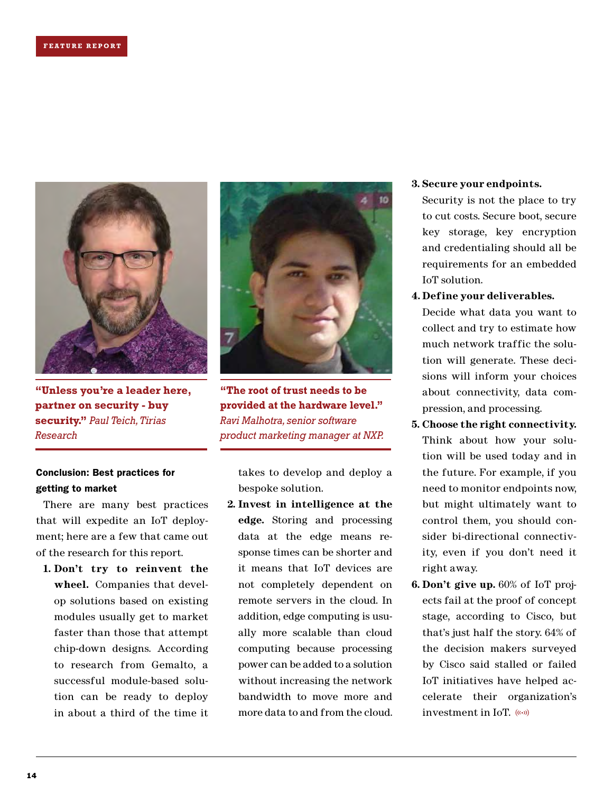

**"Unless you're a leader here, partner on security - buy security."** *Paul Teich, Tirias Research*

### Conclusion: Best practices for getting to market

There are many best practices that will expedite an IoT deployment; here are a few that came out of the research for this report.

**1. Don't try to reinvent the wheel.** Companies that develop solutions based on existing modules usually get to market faster than those that attempt chip-down designs. According to research from Gemalto, a successful module-based solution can be ready to deploy in about a third of the time it



**"The root of trust needs to be provided at the hardware level."**  *Ravi Malhotra, senior software product marketing manager at NXP.*

takes to develop and deploy a bespoke solution.

**2. Invest in intelligence at the edge.** Storing and processing data at the edge means response times can be shorter and it means that IoT devices are not completely dependent on remote servers in the cloud. In addition, edge computing is usually more scalable than cloud computing because processing power can be added to a solution without increasing the network bandwidth to move more and more data to and from the cloud.

### **3. Secure your endpoints.**

Security is not the place to try to cut costs. Secure boot, secure key storage, key encryption and credentialing should all be requirements for an embedded IoT solution.

**4. Define your deliverables.**

Decide what data you want to collect and try to estimate how much network traffic the solution will generate. These decisions will inform your choices about connectivity, data compression, and processing.

- **5. Choose the right connectivity.** Think about how your solution will be used today and in the future. For example, if you need to monitor endpoints now, but might ultimately want to control them, you should consider bi-directional connectivity, even if you don't need it right away.
- **6. Don't give up.** 60% of IoT projects fail at the proof of concept stage, according to Cisco, but that's just half the story. 64% of the decision makers surveyed by Cisco said stalled or failed IoT initiatives have helped accelerate their organization's investment in IoT.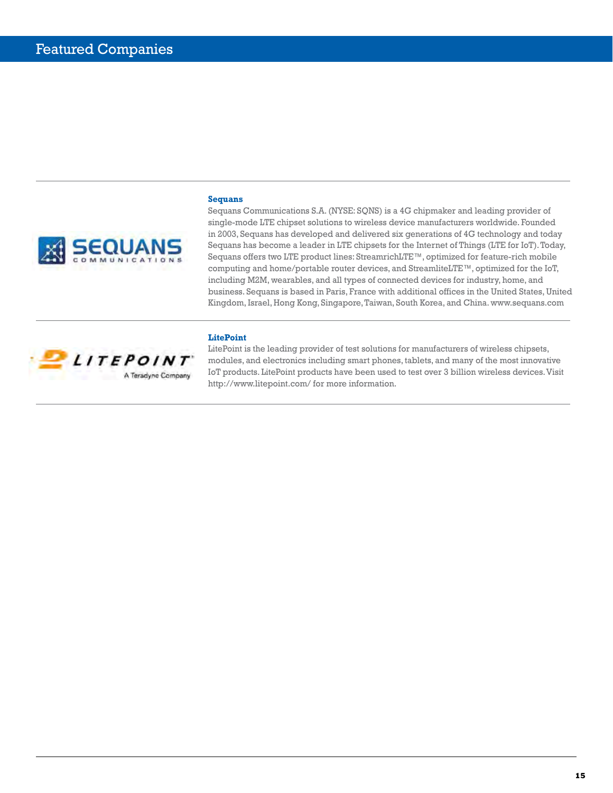

**Sequans**

Sequans Communications S.A. (NYSE: SQNS) is a 4G chipmaker and leading provider of single-mode LTE chipset solutions to wireless device manufacturers worldwide. Founded in 2003, Sequans has developed and delivered six generations of 4G technology and today Sequans has become a leader in LTE chipsets for the Internet of Things (LTE for IoT). Today, Sequans offers two LTE product lines: StreamrichLTE™, optimized for feature-rich mobile computing and home/portable router devices, and StreamliteLTE™, optimized for the IoT, including M2M, wearables, and all types of connected devices for industry, home, and business. Sequans is based in Paris, France with additional offices in the United States, United Kingdom, Israel, Hong Kong, Singapore, Taiwan, South Korea, and China. [www.sequans.com](http://www.sequans.com)

### **LitePoint**



LitePoint is the leading provider of test solutions for manufacturers of wireless chipsets, modules, and electronics including smart phones, tablets, and many of the most innovative IoT products. LitePoint products have been used to test over 3 billion wireless devices. Visit [http://www.litepoint.com/](http://www.litepoint.com) for more information.